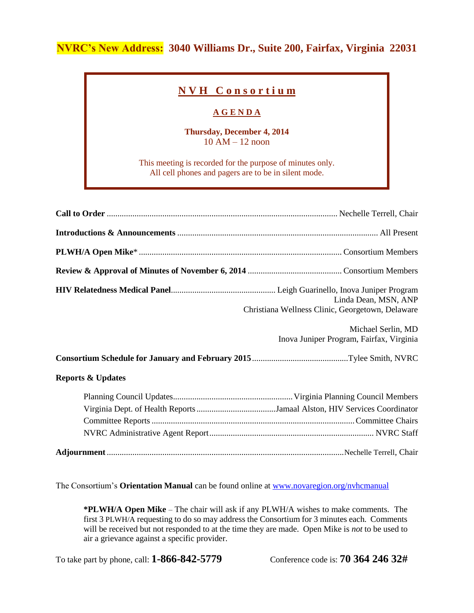## **NVRC's New Address: 3040 Williams Dr., Suite 200, Fairfax, Virginia 22031**

## **N V H C o n s o r t i u m**

## **A G E N D A**

**Thursday, December 4, 2014** 10 AM – 12 noon

This meeting is recorded for the purpose of minutes only. All cell phones and pagers are to be in silent mode.

|                              | Linda Dean, MSN, ANP<br>Christiana Wellness Clinic, Georgetown, Delaware |
|------------------------------|--------------------------------------------------------------------------|
|                              | Michael Serlin, MD<br>Inova Juniper Program, Fairfax, Virginia           |
|                              |                                                                          |
| <b>Reports &amp; Updates</b> |                                                                          |
|                              |                                                                          |

The Consortium's **Orientation Manual** can be found online at [www.novaregion.org/nvhcmanual](http://www.novaregion.org/nvhcmanual)

**\*PLWH/A Open Mike** – The chair will ask if any PLWH/A wishes to make comments. The first 3 PLWH/A requesting to do so may address the Consortium for 3 minutes each. Comments will be received but not responded to at the time they are made. Open Mike is *not* to be used to air a grievance against a specific provider.

To take part by phone, call: **1-866-842-5779** Conference code is: **70 364 246 32#**